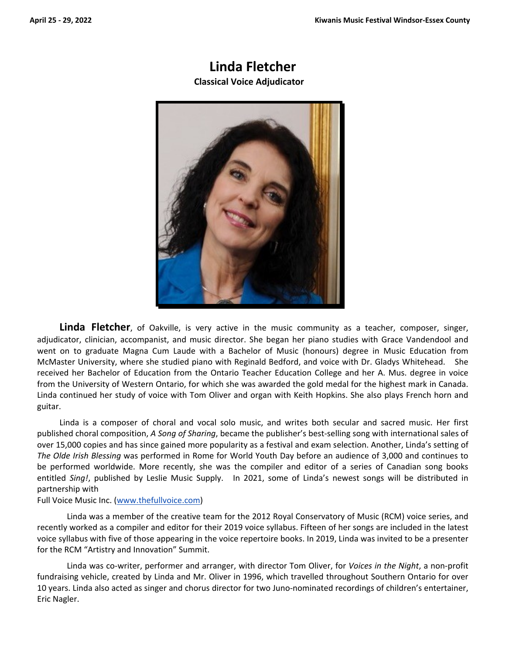# **Linda Fletcher**

**Classical Voice Adjudicator** 



**Linda Fletcher**, of Oakville, is very active in the music community as a teacher, composer, singer, adjudicator, clinician, accompanist, and music director. She began her piano studies with Grace Vandendool and went on to graduate Magna Cum Laude with a Bachelor of Music (honours) degree in Music Education from McMaster University, where she studied piano with Reginald Bedford, and voice with Dr. Gladys Whitehead. She received her Bachelor of Education from the Ontario Teacher Education College and her A. Mus. degree in voice from the University of Western Ontario, for which she was awarded the gold medal for the highest mark in Canada. Linda continued her study of voice with Tom Oliver and organ with Keith Hopkins. She also plays French horn and guitar.

Linda is a composer of choral and vocal solo music, and writes both secular and sacred music. Her first published choral composition, *A Song of Sharing*, became the publisher's best‐selling song with international sales of over 15,000 copies and has since gained more popularity as a festival and exam selection. Another, Linda's setting of *The Olde Irish Blessing* was performed in Rome for World Youth Day before an audience of 3,000 and continues to be performed worldwide. More recently, she was the compiler and editor of a series of Canadian song books entitled Sing!, published by Leslie Music Supply. In 2021, some of Linda's newest songs will be distributed in partnership with

#### Full Voice Music Inc. (www.thefullvoice.com)

Linda was a member of the creative team for the 2012 Royal Conservatory of Music (RCM) voice series, and recently worked as a compiler and editor for their 2019 voice syllabus. Fifteen of her songs are included in the latest voice syllabus with five of those appearing in the voice repertoire books. In 2019, Linda was invited to be a presenter for the RCM "Artistry and Innovation" Summit.

Linda was co‐writer, performer and arranger, with director Tom Oliver, for *Voices in the Night*, a non‐profit fundraising vehicle, created by Linda and Mr. Oliver in 1996, which travelled throughout Southern Ontario for over 10 years. Linda also acted as singer and chorus director for two Juno‐nominated recordings of children's entertainer, Eric Nagler.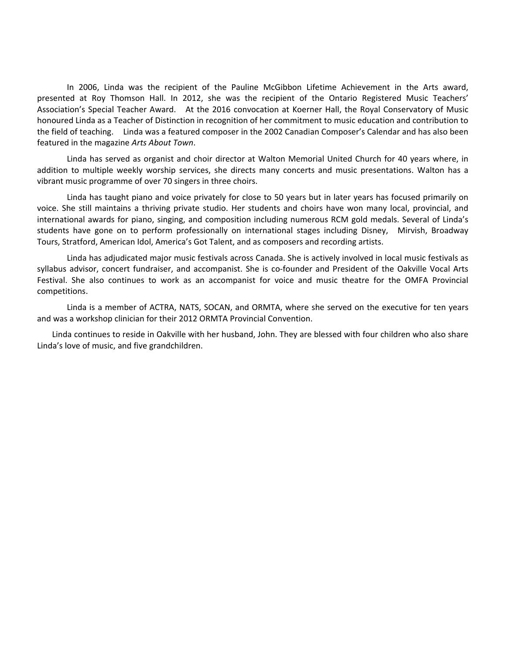In 2006, Linda was the recipient of the Pauline McGibbon Lifetime Achievement in the Arts award, presented at Roy Thomson Hall. In 2012, she was the recipient of the Ontario Registered Music Teachers' Association's Special Teacher Award. At the 2016 convocation at Koerner Hall, the Royal Conservatory of Music honoured Linda as a Teacher of Distinction in recognition of her commitment to music education and contribution to the field of teaching. Linda was a featured composer in the 2002 Canadian Composer's Calendar and has also been featured in the magazine *Arts About Town*.

Linda has served as organist and choir director at Walton Memorial United Church for 40 years where, in addition to multiple weekly worship services, she directs many concerts and music presentations. Walton has a vibrant music programme of over 70 singers in three choirs.

Linda has taught piano and voice privately for close to 50 years but in later years has focused primarily on voice. She still maintains a thriving private studio. Her students and choirs have won many local, provincial, and international awards for piano, singing, and composition including numerous RCM gold medals. Several of Linda's students have gone on to perform professionally on international stages including Disney, Mirvish, Broadway Tours, Stratford, American Idol, America's Got Talent, and as composers and recording artists.

Linda has adjudicated major music festivals across Canada. She is actively involved in local music festivals as syllabus advisor, concert fundraiser, and accompanist. She is co-founder and President of the Oakville Vocal Arts Festival. She also continues to work as an accompanist for voice and music theatre for the OMFA Provincial competitions.

Linda is a member of ACTRA, NATS, SOCAN, and ORMTA, where she served on the executive for ten years and was a workshop clinician for their 2012 ORMTA Provincial Convention.

Linda continues to reside in Oakville with her husband, John. They are blessed with four children who also share Linda's love of music, and five grandchildren.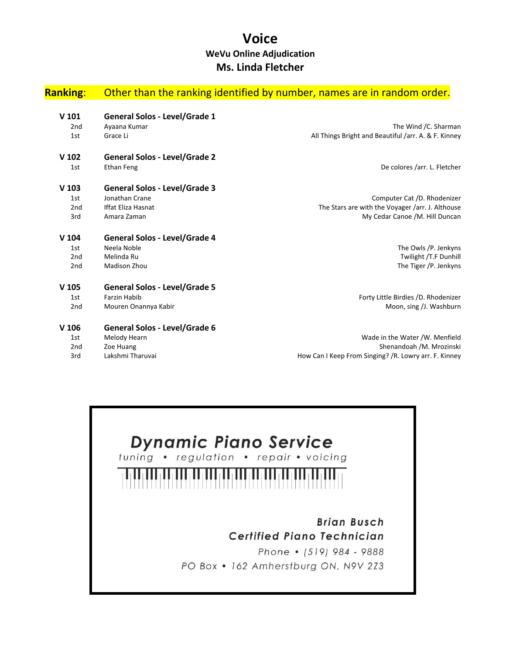## **Voice WeVu Online Adjudication Ms. Linda Fletcher**

| <b>Ranking:</b>  | Other than the ranking identified by number, names are in random order. |                                                      |
|------------------|-------------------------------------------------------------------------|------------------------------------------------------|
| $V$ 101          | <b>General Solos - Level/Grade 1</b>                                    |                                                      |
| 2 <sub>nd</sub>  | Ayaana Kumar                                                            | The Wind /C. Sharman                                 |
| 1st              | Grace Li                                                                | All Things Bright and Beautiful /arr. A. & F. Kinney |
| V <sub>102</sub> | <b>General Solos - Level/Grade 2</b>                                    |                                                      |
| 1st              | <b>Ethan Feng</b>                                                       | De colores /arr. L. Fletcher                         |
| $V$ 103          | <b>General Solos - Level/Grade 3</b>                                    |                                                      |
| 1st              | Jonathan Crane                                                          | Computer Cat /D. Rhodenizer                          |
| 2 <sub>nd</sub>  | <b>Iffat Eliza Hasnat</b>                                               | The Stars are with the Voyager /arr. J. Althouse     |
| 3rd              | Amara Zaman                                                             | My Cedar Canoe /M. Hill Duncan                       |
| $V$ 104          | <b>General Solos - Level/Grade 4</b>                                    |                                                      |
| 1st              | Neela Noble                                                             | The Owls /P. Jenkyns                                 |
| 2 <sub>nd</sub>  | Melinda Ru                                                              | Twilight /T.F Dunhill                                |
| 2 <sub>nd</sub>  | Madison Zhou                                                            | The Tiger /P. Jenkyns                                |
| V <sub>105</sub> | <b>General Solos - Level/Grade 5</b>                                    |                                                      |
| 1st              | <b>Farzin Habib</b>                                                     | Forty Little Birdies /D. Rhodenizer                  |
| 2 <sub>nd</sub>  | Mouren Onannya Kabir                                                    | Moon, sing /J. Washburn                              |
| V <sub>106</sub> | <b>General Solos - Level/Grade 6</b>                                    |                                                      |
| 1st              | Melody Hearn                                                            | Wade in the Water /W. Menfield                       |
| 2 <sub>nd</sub>  | Zoe Huang                                                               | Shenandoah /M. Mrozinski                             |

3rd Lakshmi Tharuvai **How Can I Keep From Singing?** /R. Lowry arr. F. Kinney

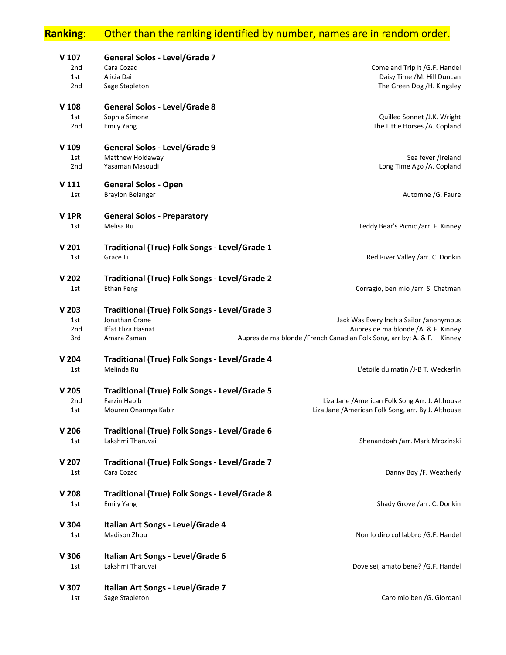# **Ranking**: Other than the ranking identified by number, names are in random order.

|                                                                         | <b>General Solos - Level/Grade 7</b>          | V <sub>107</sub> |  |
|-------------------------------------------------------------------------|-----------------------------------------------|------------------|--|
| Come and Trip It /G.F. Handel                                           | Cara Cozad                                    | 2 <sub>nd</sub>  |  |
| Daisy Time /M. Hill Duncan                                              | Alicia Dai                                    | 1st              |  |
| The Green Dog /H. Kingsley                                              | Sage Stapleton                                | 2 <sub>nd</sub>  |  |
|                                                                         | <b>General Solos - Level/Grade 8</b>          | V <sub>108</sub> |  |
| Quilled Sonnet /J.K. Wright                                             | Sophia Simone                                 | 1st              |  |
| The Little Horses /A. Copland                                           | <b>Emily Yang</b>                             | 2 <sub>nd</sub>  |  |
|                                                                         | General Solos - Level/Grade 9                 | V 109            |  |
| Sea fever /Ireland                                                      | Matthew Holdaway                              | 1st              |  |
| Long Time Ago /A. Copland                                               | Yasaman Masoudi                               | 2 <sub>nd</sub>  |  |
|                                                                         | <b>General Solos - Open</b>                   | V 111            |  |
| Automne /G. Faure                                                       | <b>Braylon Belanger</b>                       | 1st              |  |
|                                                                         |                                               |                  |  |
|                                                                         | <b>General Solos - Preparatory</b>            | V <sub>1PR</sub> |  |
| Teddy Bear's Picnic /arr. F. Kinney                                     | Melisa Ru                                     | 1st              |  |
|                                                                         | Traditional (True) Folk Songs - Level/Grade 1 | V <sub>201</sub> |  |
| Red River Valley /arr. C. Donkin                                        | Grace Li                                      | 1st              |  |
|                                                                         |                                               |                  |  |
|                                                                         | Traditional (True) Folk Songs - Level/Grade 2 | V <sub>202</sub> |  |
| Corragio, ben mio /arr. S. Chatman                                      | <b>Ethan Feng</b>                             | 1st              |  |
|                                                                         | Traditional (True) Folk Songs - Level/Grade 3 | V <sub>203</sub> |  |
| Jack Was Every Inch a Sailor /anonymous                                 | Jonathan Crane                                | 1st              |  |
| Aupres de ma blonde /A. & F. Kinney                                     | Iffat Eliza Hasnat                            | 2 <sub>nd</sub>  |  |
| Aupres de ma blonde / French Canadian Folk Song, arr by: A. & F. Kinney | Amara Zaman                                   | 3rd              |  |
|                                                                         | Traditional (True) Folk Songs - Level/Grade 4 | V <sub>204</sub> |  |
| L'etoile du matin /J-B T. Weckerlin                                     | Melinda Ru                                    | 1st              |  |
|                                                                         |                                               |                  |  |
|                                                                         | Traditional (True) Folk Songs - Level/Grade 5 | V <sub>205</sub> |  |
| Liza Jane / American Folk Song Arr. J. Althouse                         | <b>Farzin Habib</b><br>Mouren Onannya Kabir   | 2 <sub>nd</sub>  |  |
| Liza Jane / American Folk Song, arr. By J. Althouse                     |                                               | 1st              |  |
|                                                                         | Traditional (True) Folk Songs - Level/Grade 6 | V <sub>206</sub> |  |
| Shenandoah /arr. Mark Mrozinski                                         | Lakshmi Tharuvai                              | 1st              |  |
|                                                                         | Traditional (True) Folk Songs - Level/Grade 7 | V <sub>207</sub> |  |
| Danny Boy /F. Weatherly                                                 | Cara Cozad                                    | 1st              |  |
|                                                                         |                                               |                  |  |
|                                                                         | Traditional (True) Folk Songs - Level/Grade 8 | V 208            |  |
| Shady Grove /arr. C. Donkin                                             | <b>Emily Yang</b>                             | 1st              |  |
|                                                                         | Italian Art Songs - Level/Grade 4             | V304             |  |
| Non lo diro col labbro /G.F. Handel                                     | Madison Zhou                                  | 1st              |  |
|                                                                         | Italian Art Songs - Level/Grade 6             | V 306            |  |
| Dove sei, amato bene? /G.F. Handel                                      | Lakshmi Tharuvai                              | 1st              |  |
|                                                                         |                                               |                  |  |
|                                                                         | Italian Art Songs - Level/Grade 7             | V 307            |  |
| Caro mio ben /G. Giordani                                               | Sage Stapleton                                | 1st              |  |
|                                                                         |                                               |                  |  |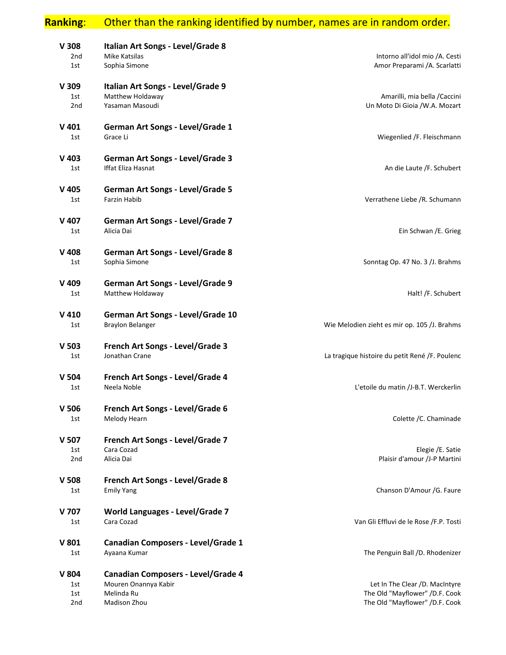# **Ranking**: Other than the ranking identified by number, names are in random order.

| Intorno all'idol mio /A. Cesti                                   | Italian Art Songs - Level/Grade 8<br>Mike Katsilas   | V 308<br>2nd     |  |
|------------------------------------------------------------------|------------------------------------------------------|------------------|--|
| Amor Preparami /A. Scarlatti                                     | Sophia Simone                                        | 1st              |  |
|                                                                  | Italian Art Songs - Level/Grade 9                    | V 309            |  |
| Amarilli, mia bella / Caccini<br>Un Moto Di Gioia /W.A. Mozart   | Matthew Holdaway<br>Yasaman Masoudi                  | 1st<br>2nd       |  |
|                                                                  |                                                      |                  |  |
|                                                                  | German Art Songs - Level/Grade 1                     | $V$ 401          |  |
| Wiegenlied /F. Fleischmann                                       | Grace Li                                             | 1st              |  |
|                                                                  | <b>German Art Songs - Level/Grade 3</b>              | $V$ 403          |  |
| An die Laute /F. Schubert                                        | <b>Iffat Eliza Hasnat</b>                            | 1st              |  |
|                                                                  | <b>German Art Songs - Level/Grade 5</b>              | V 405            |  |
| Verrathene Liebe /R. Schumann                                    | <b>Farzin Habib</b>                                  | 1st              |  |
|                                                                  | German Art Songs - Level/Grade 7                     | V 407            |  |
| Ein Schwan / E. Grieg                                            | Alicia Dai                                           | 1st              |  |
|                                                                  |                                                      |                  |  |
| Sonntag Op. 47 No. 3 /J. Brahms                                  | German Art Songs - Level/Grade 8<br>Sophia Simone    | V 408<br>1st     |  |
|                                                                  |                                                      |                  |  |
|                                                                  | German Art Songs - Level/Grade 9                     | V 409            |  |
| Halt! /F. Schubert                                               | Matthew Holdaway                                     | 1st              |  |
|                                                                  | German Art Songs - Level/Grade 10                    | $V$ 410          |  |
| Wie Melodien zieht es mir op. 105 /J. Brahms                     | <b>Braylon Belanger</b>                              | 1st              |  |
|                                                                  | French Art Songs - Level/Grade 3                     | V 503            |  |
| La tragique histoire du petit René /F. Poulenc                   | Jonathan Crane                                       | 1st              |  |
|                                                                  | French Art Songs - Level/Grade 4                     | V <sub>504</sub> |  |
| L'etoile du matin /J-B.T. Werckerlin                             | Neela Noble                                          | 1st              |  |
|                                                                  | French Art Songs - Level/Grade 6                     | V 506            |  |
| Colette / C. Chaminade                                           | Melody Hearn                                         | 1st              |  |
|                                                                  |                                                      |                  |  |
| Elegie / E. Satie                                                | French Art Songs - Level/Grade 7<br>Cara Cozad       | V 507<br>1st     |  |
| Plaisir d'amour /J-P Martini                                     | Alicia Dai                                           | 2nd              |  |
|                                                                  | French Art Songs - Level/Grade 8                     | V 508            |  |
| Chanson D'Amour /G. Faure                                        | <b>Emily Yang</b>                                    | 1st              |  |
|                                                                  |                                                      |                  |  |
| Van Gli Effluvi de le Rose /F.P. Tosti                           | <b>World Languages - Level/Grade 7</b><br>Cara Cozad | V 707<br>1st     |  |
|                                                                  |                                                      |                  |  |
|                                                                  | <b>Canadian Composers - Level/Grade 1</b>            | V 801            |  |
| The Penguin Ball /D. Rhodenizer                                  | Ayaana Kumar                                         | 1st              |  |
|                                                                  | <b>Canadian Composers - Level/Grade 4</b>            | V 804            |  |
| Let In The Clear /D. MacIntyre                                   | Mouren Onannya Kabir                                 | 1st              |  |
| The Old "Mayflower" /D.F. Cook<br>The Old "Mayflower" /D.F. Cook | Melinda Ru<br>Madison Zhou                           | 1st<br>2nd       |  |
|                                                                  |                                                      |                  |  |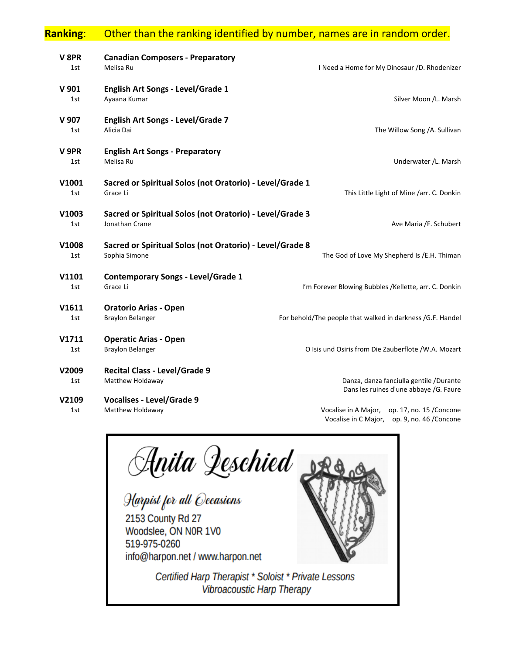### **Ranking**: Other than the ranking identified by number, names are in random order.

| V 8PR<br>Melisa Ru<br>1st  | <b>Canadian Composers - Preparatory</b>                                    | I Need a Home for My Dinosaur /D. Rhodenizer                                      |
|----------------------------|----------------------------------------------------------------------------|-----------------------------------------------------------------------------------|
| V 901<br>1st               | <b>English Art Songs - Level/Grade 1</b><br>Ayaana Kumar                   | Silver Moon /L. Marsh                                                             |
| V 907<br>Alicia Dai<br>1st | English Art Songs - Level/Grade 7                                          | The Willow Song /A. Sullivan                                                      |
| V 9PR<br>Melisa Ru<br>1st  | <b>English Art Songs - Preparatory</b>                                     | Underwater /L. Marsh                                                              |
| V1001<br>1st<br>Grace Li   | Sacred or Spiritual Solos (not Oratorio) - Level/Grade 1                   | This Little Light of Mine /arr. C. Donkin                                         |
| V1003<br>1st               | Sacred or Spiritual Solos (not Oratorio) - Level/Grade 3<br>Jonathan Crane | Ave Maria /F. Schubert                                                            |
| V1008<br>1st               | Sacred or Spiritual Solos (not Oratorio) - Level/Grade 8<br>Sophia Simone  | The God of Love My Shepherd Is /E.H. Thiman                                       |
| V1101<br>1st<br>Grace Li   | <b>Contemporary Songs - Level/Grade 1</b>                                  | I'm Forever Blowing Bubbles /Kellette, arr. C. Donkin                             |
| V1611<br>1st               | <b>Oratorio Arias - Open</b><br><b>Braylon Belanger</b>                    | For behold/The people that walked in darkness /G.F. Handel                        |
| V1711<br>1st               | <b>Operatic Arias - Open</b><br><b>Braylon Belanger</b>                    | O Isis und Osiris from Die Zauberflote /W.A. Mozart                               |
| V2009<br>1st               | <b>Recital Class - Level/Grade 9</b><br>Matthew Holdaway                   | Danza, danza fanciulla gentile /Durante<br>Dans les ruines d'une abbaye /G. Faure |
| V2109<br>1st               | <b>Vocalises - Level/Grade 9</b><br>Matthew Holdaway                       | Vocalise in A Major, op. 17, no. 15 / Concone                                     |

Anita Qeschied<br>Harpist for all Occasions 2153 County Rd 27 Woodslee, ON N0R 1V0 519-975-0260 info@harpon.net / www.harpon.net Certified Harp Therapist \* Soloist \* Private Lessons Vibroacoustic Harp Therapy

Vocalise in C Major, op. 9, no. 46 /Concone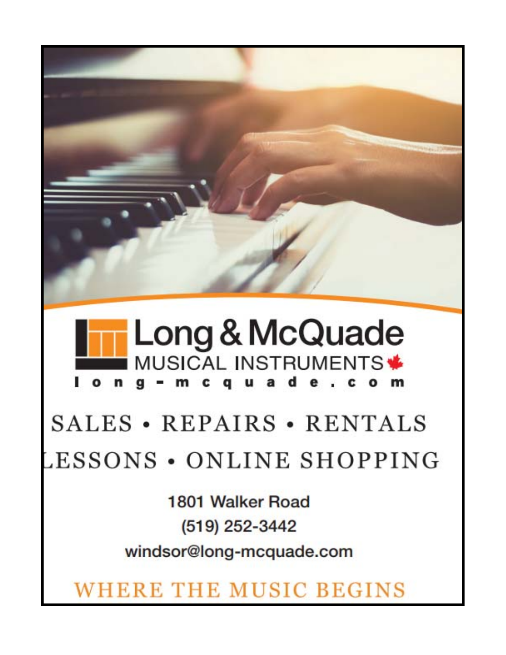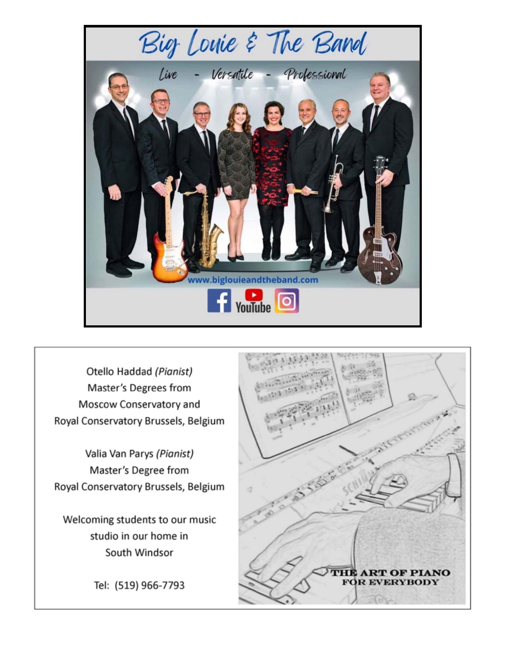

Otello Haddad (Pianist) Master's Degrees from Moscow Conservatory and Royal Conservatory Brussels, Belgium

Valia Van Parys (Pianist) Master's Degree from Royal Conservatory Brussels, Belgium

Welcoming students to our music studio in our home in South Windsor

Tel: (519) 966-7793

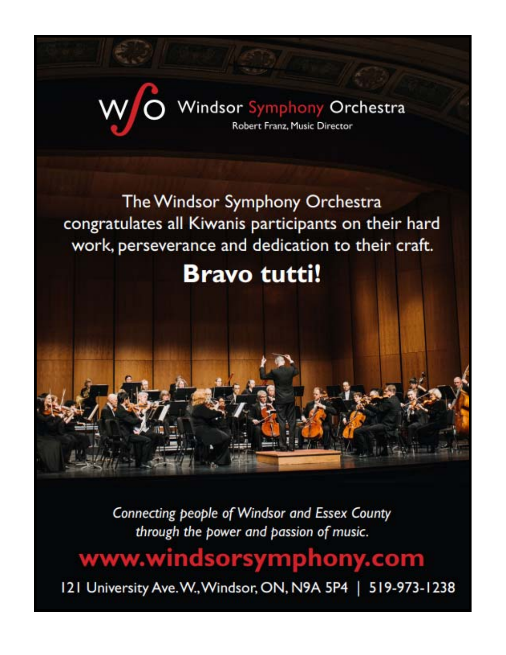

Connecting people of Windsor and Essex County through the power and passion of music.

www.windsorsymphony.com

121 University Ave. W., Windsor, ON, N9A 5P4 | 519-973-1238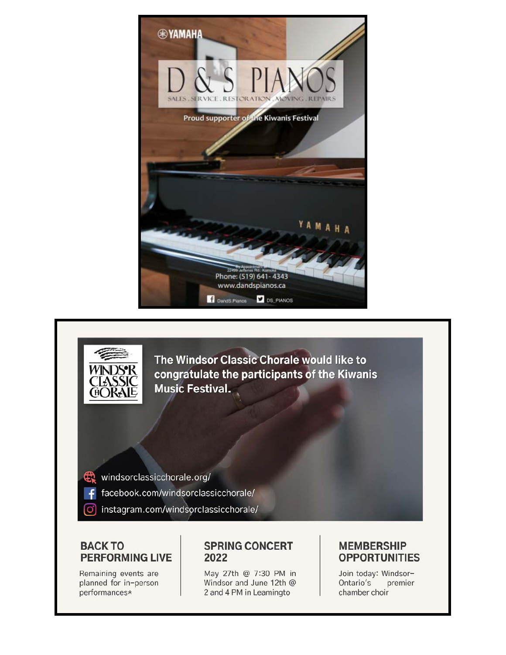



### **BACK TO PERFORMING LIVE**

Remaining events are planned for in-person performances\*

### **SPRING CONCERT** 2022

May 27th @ 7:30 PM in Windsor and June 12th @ 2 and 4 PM in Leamingto

### **MEMBERSHIP OPPORTUNITIES**

Join today: Windsor-Ontario's premier chamber choir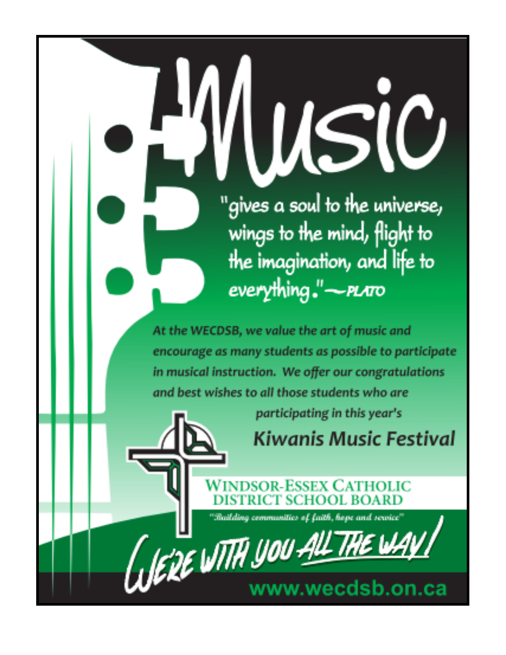**USI** "gives a soul to the universe, wings to the mind, flight to the imagination, and life to everything."-*PLATO* At the WECDSB, we value the art of music and encourage as many students as possible to participate in musical instruction. We offer our congratulations and best wishes to all those students who are participating in this year's **Kiwanis Music Festival** DSOR-ESSEX CATHOLIC "Bailding communities of faith, hope and service" **C'DE WITH YOU A** www.wecdsb.on.ca